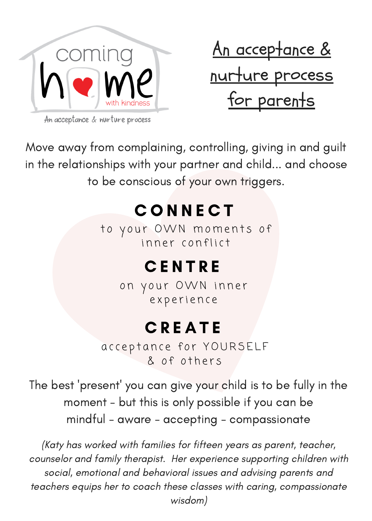

<u>An acceptance &</u> nurture process for parents

An acceptance & nurture process

Move away from complaining, controlling, giving in and guilt in the relationships with your partner and child... and choose to be conscious of your own triggers.

# C O N N E C T

to your OWN moments of inner conflict

### **CENTRE**

on your OWN inner experience

## **C R E A T E**

acceptance for YOURSELF & of others

The best 'present' you can give your child is to be fully in the moment - but this is only possible if you can be mindful - aware - accepting - compassionate

(Katy has worked with families for fifteen years as parent, teacher, counselor and family therapist. Her experience supporting children with social, emotional and behavioral issues and advising parents and teachers equips her to coach these classes with caring, compassionate wisdom)